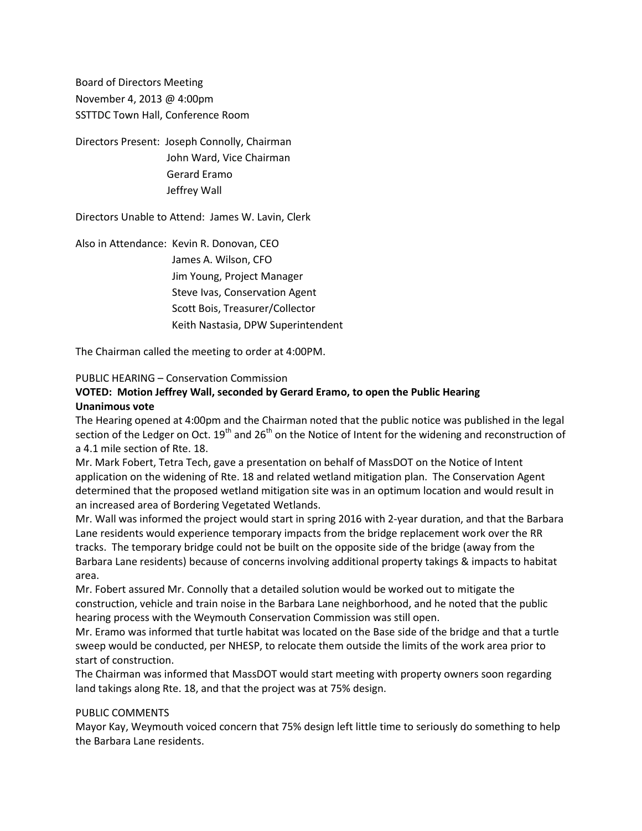Board of Directors Meeting November 4, 2013 @ 4:00pm SSTTDC Town Hall, Conference Room

Directors Present: Joseph Connolly, Chairman John Ward, Vice Chairman Gerard Eramo Jeffrey Wall

Directors Unable to Attend: James W. Lavin, Clerk

Also in Attendance: Kevin R. Donovan, CEO James A. Wilson, CFO Jim Young, Project Manager Steve Ivas, Conservation Agent Scott Bois, Treasurer/Collector Keith Nastasia, DPW Superintendent

The Chairman called the meeting to order at 4:00PM.

### PUBLIC HEARING – Conservation Commission

## **VOTED: Motion Jeffrey Wall, seconded by Gerard Eramo, to open the Public Hearing Unanimous vote**

The Hearing opened at 4:00pm and the Chairman noted that the public notice was published in the legal section of the Ledger on Oct.  $19<sup>th</sup>$  and  $26<sup>th</sup>$  on the Notice of Intent for the widening and reconstruction of a 4.1 mile section of Rte. 18.

Mr. Mark Fobert, Tetra Tech, gave a presentation on behalf of MassDOT on the Notice of Intent application on the widening of Rte. 18 and related wetland mitigation plan. The Conservation Agent determined that the proposed wetland mitigation site was in an optimum location and would result in an increased area of Bordering Vegetated Wetlands.

Mr. Wall was informed the project would start in spring 2016 with 2-year duration, and that the Barbara Lane residents would experience temporary impacts from the bridge replacement work over the RR tracks. The temporary bridge could not be built on the opposite side of the bridge (away from the Barbara Lane residents) because of concerns involving additional property takings & impacts to habitat area.

Mr. Fobert assured Mr. Connolly that a detailed solution would be worked out to mitigate the construction, vehicle and train noise in the Barbara Lane neighborhood, and he noted that the public hearing process with the Weymouth Conservation Commission was still open.

Mr. Eramo was informed that turtle habitat was located on the Base side of the bridge and that a turtle sweep would be conducted, per NHESP, to relocate them outside the limits of the work area prior to start of construction.

The Chairman was informed that MassDOT would start meeting with property owners soon regarding land takings along Rte. 18, and that the project was at 75% design.

### PUBLIC COMMENTS

Mayor Kay, Weymouth voiced concern that 75% design left little time to seriously do something to help the Barbara Lane residents.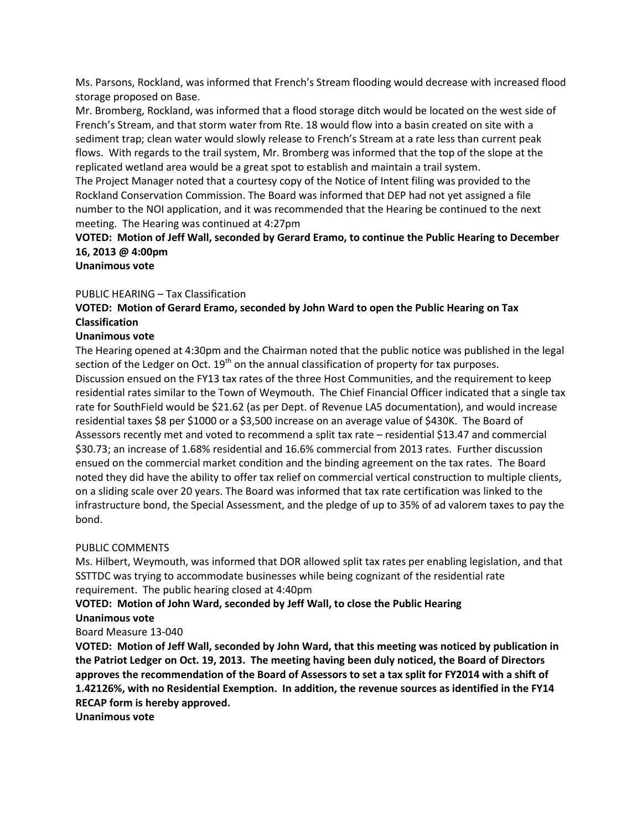Ms. Parsons, Rockland, was informed that French's Stream flooding would decrease with increased flood storage proposed on Base.

Mr. Bromberg, Rockland, was informed that a flood storage ditch would be located on the west side of French's Stream, and that storm water from Rte. 18 would flow into a basin created on site with a sediment trap; clean water would slowly release to French's Stream at a rate less than current peak flows. With regards to the trail system, Mr. Bromberg was informed that the top of the slope at the replicated wetland area would be a great spot to establish and maintain a trail system.

The Project Manager noted that a courtesy copy of the Notice of Intent filing was provided to the Rockland Conservation Commission. The Board was informed that DEP had not yet assigned a file number to the NOI application, and it was recommended that the Hearing be continued to the next meeting. The Hearing was continued at 4:27pm

# **VOTED: Motion of Jeff Wall, seconded by Gerard Eramo, to continue the Public Hearing to December 16, 2013 @ 4:00pm**

**Unanimous vote**

### PUBLIC HEARING – Tax Classification

## **VOTED: Motion of Gerard Eramo, seconded by John Ward to open the Public Hearing on Tax Classification**

### **Unanimous vote**

The Hearing opened at 4:30pm and the Chairman noted that the public notice was published in the legal section of the Ledger on Oct.  $19<sup>th</sup>$  on the annual classification of property for tax purposes. Discussion ensued on the FY13 tax rates of the three Host Communities, and the requirement to keep residential rates similar to the Town of Weymouth. The Chief Financial Officer indicated that a single tax rate for SouthField would be \$21.62 (as per Dept. of Revenue LA5 documentation), and would increase residential taxes \$8 per \$1000 or a \$3,500 increase on an average value of \$430K. The Board of Assessors recently met and voted to recommend a split tax rate – residential \$13.47 and commercial \$30.73; an increase of 1.68% residential and 16.6% commercial from 2013 rates. Further discussion ensued on the commercial market condition and the binding agreement on the tax rates. The Board noted they did have the ability to offer tax relief on commercial vertical construction to multiple clients, on a sliding scale over 20 years. The Board was informed that tax rate certification was linked to the infrastructure bond, the Special Assessment, and the pledge of up to 35% of ad valorem taxes to pay the bond.

### PUBLIC COMMENTS

Ms. Hilbert, Weymouth, was informed that DOR allowed split tax rates per enabling legislation, and that SSTTDC was trying to accommodate businesses while being cognizant of the residential rate requirement. The public hearing closed at 4:40pm

### **VOTED: Motion of John Ward, seconded by Jeff Wall, to close the Public Hearing Unanimous vote**

### Board Measure 13-040

**VOTED: Motion of Jeff Wall, seconded by John Ward, that this meeting was noticed by publication in the Patriot Ledger on Oct. 19, 2013. The meeting having been duly noticed, the Board of Directors approves the recommendation of the Board of Assessors to set a tax split for FY2014 with a shift of 1.42126%, with no Residential Exemption. In addition, the revenue sources as identified in the FY14 RECAP form is hereby approved.**

**Unanimous vote**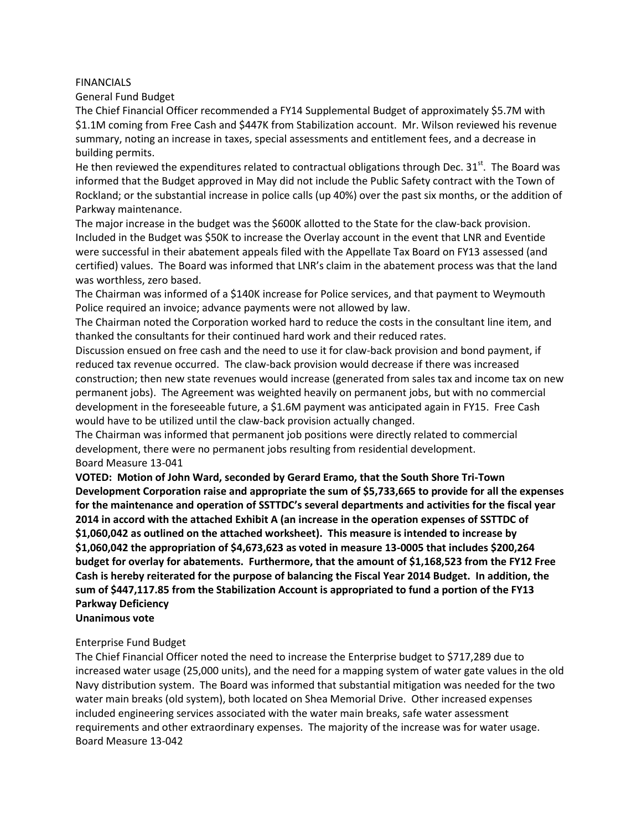#### FINANCIALS

General Fund Budget

The Chief Financial Officer recommended a FY14 Supplemental Budget of approximately \$5.7M with \$1.1M coming from Free Cash and \$447K from Stabilization account. Mr. Wilson reviewed his revenue summary, noting an increase in taxes, special assessments and entitlement fees, and a decrease in building permits.

He then reviewed the expenditures related to contractual obligations through Dec.  $31<sup>st</sup>$ . The Board was informed that the Budget approved in May did not include the Public Safety contract with the Town of Rockland; or the substantial increase in police calls (up 40%) over the past six months, or the addition of Parkway maintenance.

The major increase in the budget was the \$600K allotted to the State for the claw-back provision. Included in the Budget was \$50K to increase the Overlay account in the event that LNR and Eventide were successful in their abatement appeals filed with the Appellate Tax Board on FY13 assessed (and certified) values. The Board was informed that LNR's claim in the abatement process was that the land was worthless, zero based.

The Chairman was informed of a \$140K increase for Police services, and that payment to Weymouth Police required an invoice; advance payments were not allowed by law.

The Chairman noted the Corporation worked hard to reduce the costs in the consultant line item, and thanked the consultants for their continued hard work and their reduced rates.

Discussion ensued on free cash and the need to use it for claw-back provision and bond payment, if reduced tax revenue occurred. The claw-back provision would decrease if there was increased construction; then new state revenues would increase (generated from sales tax and income tax on new permanent jobs). The Agreement was weighted heavily on permanent jobs, but with no commercial development in the foreseeable future, a \$1.6M payment was anticipated again in FY15. Free Cash would have to be utilized until the claw-back provision actually changed.

The Chairman was informed that permanent job positions were directly related to commercial development, there were no permanent jobs resulting from residential development. Board Measure 13-041

**VOTED: Motion of John Ward, seconded by Gerard Eramo, that the South Shore Tri-Town Development Corporation raise and appropriate the sum of \$5,733,665 to provide for all the expenses for the maintenance and operation of SSTTDC's several departments and activities for the fiscal year 2014 in accord with the attached Exhibit A (an increase in the operation expenses of SSTTDC of \$1,060,042 as outlined on the attached worksheet). This measure is intended to increase by \$1,060,042 the appropriation of \$4,673,623 as voted in measure 13-0005 that includes \$200,264 budget for overlay for abatements. Furthermore, that the amount of \$1,168,523 from the FY12 Free Cash is hereby reiterated for the purpose of balancing the Fiscal Year 2014 Budget. In addition, the sum of \$447,117.85 from the Stabilization Account is appropriated to fund a portion of the FY13 Parkway Deficiency Unanimous vote**

### Enterprise Fund Budget

The Chief Financial Officer noted the need to increase the Enterprise budget to \$717,289 due to increased water usage (25,000 units), and the need for a mapping system of water gate values in the old Navy distribution system. The Board was informed that substantial mitigation was needed for the two water main breaks (old system), both located on Shea Memorial Drive. Other increased expenses included engineering services associated with the water main breaks, safe water assessment requirements and other extraordinary expenses. The majority of the increase was for water usage. Board Measure 13-042